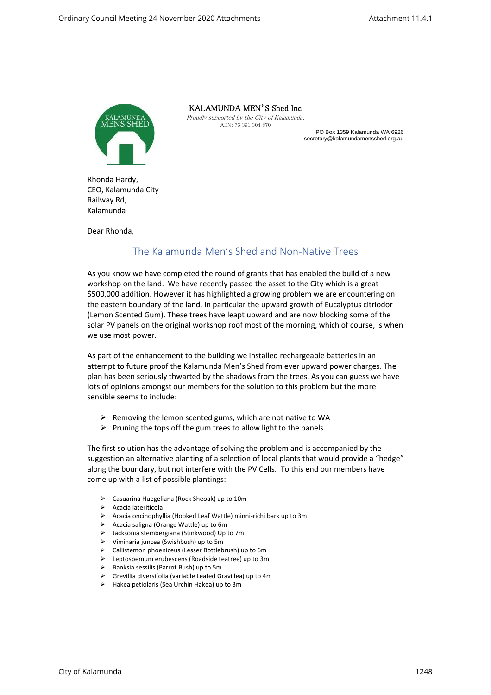

KALAMUNDA MEN'S Shed Inc

Proudly supported by the City of Kalamunda. ABN: 76 391 304 870

PO Box 1359 Kalamunda WA 6926 secretary@kalamundamensshed.org.au

Rhonda Hardy, CEO, Kalamunda City Railway Rd, Kalamunda

Dear Rhonda,

## The Kalamunda Men's Shed and Non-Native Trees

As you know we have completed the round of grants that has enabled the build of a new workshop on the land. We have recently passed the asset to the City which is a great \$500,000 addition. However it has highlighted a growing problem we are encountering on the eastern boundary of the land. In particular the upward growth of Eucalyptus citriodor (Lemon Scented Gum). These trees have leapt upward and are now blocking some of the solar PV panels on the original workshop roof most of the morning, which of course, is when we use most power.

As part of the enhancement to the building we installed rechargeable batteries in an attempt to future proof the Kalamunda Men's Shed from ever upward power charges. The plan has been seriously thwarted by the shadows from the trees. As you can guess we have lots of opinions amongst our members for the solution to this problem but the more sensible seems to include:

- $\triangleright$  Removing the lemon scented gums, which are not native to WA
- $\triangleright$  Pruning the tops off the gum trees to allow light to the panels

The first solution has the advantage of solving the problem and is accompanied by the suggestion an alternative planting of a selection of local plants that would provide a "hedge" along the boundary, but not interfere with the PV Cells. To this end our members have come up with a list of possible plantings:

- ➢ Casuarina Huegeliana (Rock Sheoak) up to 10m
- ➢ Acacia lateriticola
- ➢ Acacia oncinophyllia (Hooked Leaf Wattle) minni-richi bark up to 3m
- ➢ Acacia saligna (Orange Wattle) up to 6m
- ➢ Jacksonia stembergiana (Stinkwood) Up to 7m
- ➢ Viminaria juncea (Swishbush) up to 5m
- ➢ Callistemon phoeniceus (Lesser Bottlebrush) up to 6m
- ➢ Leptospemum erubescens (Roadside teatree) up to 3m
- ➢ Banksia sessilis (Parrot Bush) up to 5m
- ➢ Grevillia diversifolia (variable Leafed Gravillea) up to 4m
- ➢ Hakea petiolaris (Sea Urchin Hakea) up to 3m